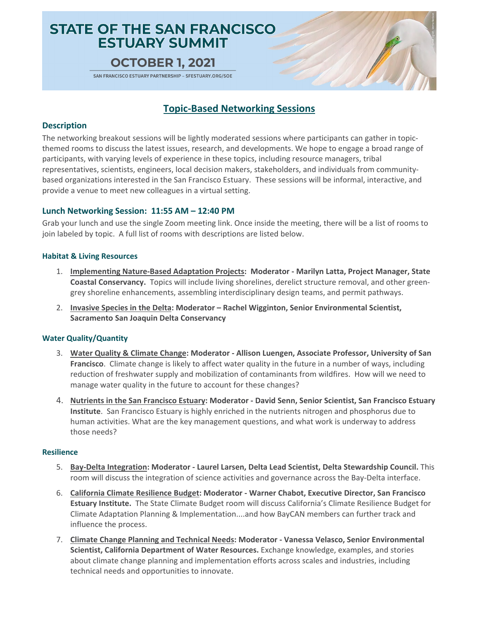# **STATE OF THE SAN FRANCISCO ESTUARY SUMMIT**

# **OCTOBER 1, 2021**

SAN FRANCISCO ESTUARY PARTNERSHIP - SFESTUARY.ORG/SOE

# **Topic-Based Networking Sessions**

### **Description**

The networking breakout sessions will be lightly moderated sessions where participants can gather in topicthemed rooms to discuss the latest issues, research, and developments. We hope to engage a broad range of participants, with varying levels of experience in these topics, including resource managers, tribal representatives, scientists, engineers, local decision makers, stakeholders, and individuals from communitybased organizations interested in the San Francisco Estuary.These sessions will be informal, interactive, and provide a venue to meet new colleagues in a virtual setting.

## **Lunch Networking Session: 11:55 AM – 12:40 PM**

Grab your lunch and use the single Zoom meeting link. Once inside the meeting, there will be a list of rooms to join labeled by topic. A full list of rooms with descriptions are listed below.

### **Habitat & Living Resources**

- 1. **Implementing Nature-Based Adaptation Projects: Moderator - Marilyn Latta, Project Manager, State Coastal Conservancy.** Topics will include living shorelines, derelict structure removal, and other greengrey shoreline enhancements, assembling interdisciplinary design teams, and permit pathways.
- 2. **Invasive Species in the Delta: Moderator – Rachel Wigginton, Senior Environmental Scientist, Sacramento San Joaquin Delta Conservancy**

### **Water Quality/Quantity**

- 3. **Water Quality & Climate Change: Moderator - Allison Luengen, Associate Professor, University of San Francisco**. Climate change is likely to affect water quality in the future in a number of ways, including reduction of freshwater supply and mobilization of contaminants from wildfires. How will we need to manage water quality in the future to account for these changes?
- 4. **Nutrients in the San Francisco Estuary: Moderator - David Senn, Senior Scientist, San Francisco Estuary Institute**. San Francisco Estuary is highly enriched in the nutrients nitrogen and phosphorus due to human activities. What are the key management questions, and what work is underway to address those needs?

#### **Resilience**

- 5. **Bay-Delta Integration: Moderator - Laurel Larsen, Delta Lead Scientist, Delta Stewardship Council.** This room will discuss the integration of science activities and governance across the Bay-Delta interface.
- 6. **California Climate Resilience Budget: Moderator - Warner Chabot, Executive Director, San Francisco Estuary Institute.** The State Climate Budget room will discuss California's Climate Resilience Budget for Climate Adaptation Planning & Implementation....and how BayCAN members can further track and influence the process.
- 7. **Climate Change Planning and Technical Needs: Moderator - Vanessa Velasco, Senior Environmental Scientist, California Department of Water Resources.** Exchange knowledge, examples, and stories about climate change planning and implementation efforts across scales and industries, including technical needs and opportunities to innovate.